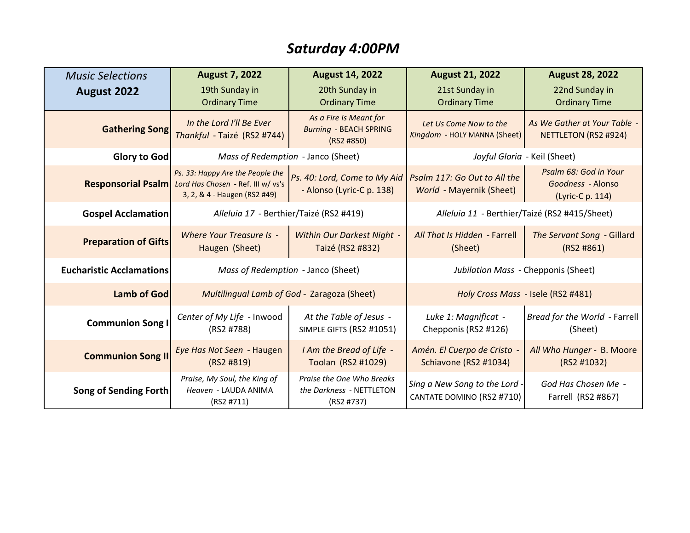# *Saturday 4:00PM*

| <b>Music Selections</b>         | <b>August 7, 2022</b>                                                                                                     | <b>August 14, 2022</b>                                                | <b>August 21, 2022</b>                                     | <b>August 28, 2022</b>                                         |
|---------------------------------|---------------------------------------------------------------------------------------------------------------------------|-----------------------------------------------------------------------|------------------------------------------------------------|----------------------------------------------------------------|
| <b>August 2022</b>              | 19th Sunday in<br><b>Ordinary Time</b>                                                                                    | 20th Sunday in<br><b>Ordinary Time</b>                                | 21st Sunday in<br><b>Ordinary Time</b>                     | 22nd Sunday in<br><b>Ordinary Time</b>                         |
| <b>Gathering Song</b>           | In the Lord I'll Be Ever<br>Thankful - Taizé (RS2 #744)                                                                   | As a Fire Is Meant for<br><b>Burning - BEACH SPRING</b><br>(RS2 #850) | Let Us Come Now to the<br>Kingdom - HOLY MANNA (Sheet)     | As We Gather at Your Table -<br>NETTLETON (RS2 #924)           |
| Glory to God                    | Mass of Redemption - Janco (Sheet)                                                                                        |                                                                       | Joyful Gloria - Keil (Sheet)                               |                                                                |
|                                 | Ps. 33: Happy Are the People the<br>Responsorial Psalm Lord Has Chosen - Ref. III w/ vs's<br>3, 2, & 4 - Haugen (RS2 #49) | Ps. 40: Lord, Come to My Aid<br>- Alonso (Lyric-C p. 138)             | Psalm 117: Go Out to All the<br>World - Mayernik (Sheet)   | Psalm 68: God in Your<br>Goodness - Alonso<br>(Lyric-C p. 114) |
| <b>Gospel Acclamation</b>       | Alleluia 17 - Berthier/Taizé (RS2 #419)                                                                                   |                                                                       | Alleluia 11 - Berthier/Taizé (RS2 #415/Sheet)              |                                                                |
| <b>Preparation of Gifts</b>     | <b>Where Your Treasure Is -</b><br>Haugen (Sheet)                                                                         | <b>Within Our Darkest Night -</b><br>Taizé (RS2 #832)                 | All That Is Hidden - Farrell<br>(Sheet)                    | The Servant Song - Gillard<br>(RS2 H861)                       |
| <b>Eucharistic Acclamations</b> | Mass of Redemption - Janco (Sheet)                                                                                        |                                                                       | Jubilation Mass - Chepponis (Sheet)                        |                                                                |
| <b>Lamb of God</b>              | Multilingual Lamb of God - Zaragoza (Sheet)                                                                               |                                                                       | Holy Cross Mass - Isele (RS2 #481)                         |                                                                |
| <b>Communion Song I</b>         | Center of My Life - Inwood<br>(RS2 #788)                                                                                  | At the Table of Jesus -<br>SIMPLE GIFTS (RS2 #1051)                   | Luke 1: Magnificat -<br>Chepponis (RS2 #126)               | Bread for the World - Farrell<br>(Sheet)                       |
| <b>Communion Song II</b>        | Eye Has Not Seen - Haugen<br>(RS2 H819)                                                                                   | I Am the Bread of Life -<br>Toolan (RS2 #1029)                        | Amén. El Cuerpo de Cristo -<br>Schiavone (RS2 #1034)       | All Who Hunger - B. Moore<br>(RS2 #1032)                       |
| Song of Sending Forth           | Praise, My Soul, the King of<br>Heaven - LAUDA ANIMA<br>(RS2 #711)                                                        | Praise the One Who Breaks<br>the Darkness - NETTLETON<br>(RS2 #737)   | Sing a New Song to the Lord -<br>CANTATE DOMINO (RS2 #710) | God Has Chosen Me -<br>Farrell (RS2 #867)                      |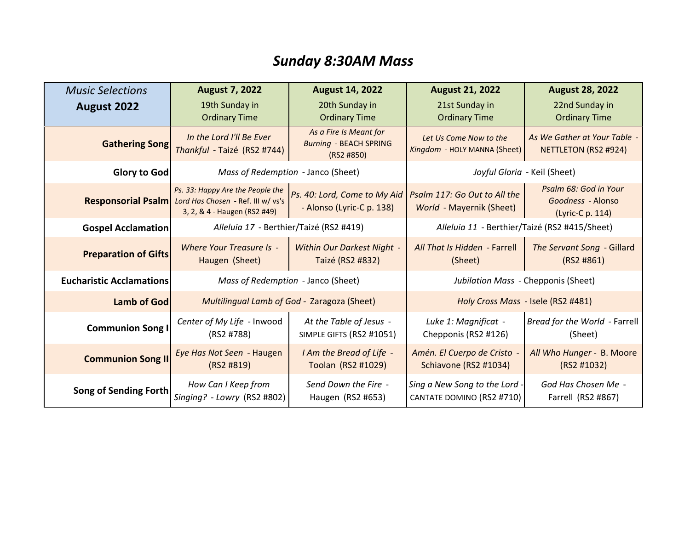# *Sunday 8:30AM Mass*

| <b>Music Selections</b>         | <b>August 7, 2022</b>                                                                                  | <b>August 14, 2022</b>                                                | <b>August 21, 2022</b>                                          | <b>August 28, 2022</b>                                         |
|---------------------------------|--------------------------------------------------------------------------------------------------------|-----------------------------------------------------------------------|-----------------------------------------------------------------|----------------------------------------------------------------|
| <b>August 2022</b>              | 19th Sunday in<br><b>Ordinary Time</b>                                                                 | 20th Sunday in<br><b>Ordinary Time</b>                                | 21st Sunday in<br><b>Ordinary Time</b>                          | 22nd Sunday in<br><b>Ordinary Time</b>                         |
| <b>Gathering Song</b>           | In the Lord I'll Be Ever<br>Thankful - Taizé (RS2 #744)                                                | As a Fire Is Meant for<br><b>Burning - BEACH SPRING</b><br>(RS2 #850) | Let Us Come Now to the<br>Kingdom - HOLY MANNA (Sheet)          | As We Gather at Your Table -<br>NETTLETON (RS2 #924)           |
| Glory to God                    | Mass of Redemption - Janco (Sheet)                                                                     |                                                                       | Joyful Gloria - Keil (Sheet)                                    |                                                                |
| <b>Responsorial Psalm</b>       | Ps. 33: Happy Are the People the<br>Lord Has Chosen - Ref. III w/ vs's<br>3, 2, & 4 - Haugen (RS2 #49) | Ps. 40: Lord, Come to My Aid<br>- Alonso (Lyric-C p. 138)             | Psalm 117: Go Out to All the<br><b>World - Mayernik (Sheet)</b> | Psalm 68: God in Your<br>Goodness - Alonso<br>(Lyric-C p. 114) |
| <b>Gospel Acclamation</b>       | Alleluia 17 - Berthier/Taizé (RS2 #419)                                                                |                                                                       | Alleluia 11 - Berthier/Taizé (RS2 #415/Sheet)                   |                                                                |
| <b>Preparation of Gifts</b>     | Where Your Treasure Is -<br>Haugen (Sheet)                                                             | Within Our Darkest Night -<br>Taizé (RS2 #832)                        | All That Is Hidden - Farrell<br>(Sheet)                         | The Servant Song - Gillard<br>(RS2 H861)                       |
| <b>Eucharistic Acclamations</b> | Mass of Redemption - Janco (Sheet)                                                                     |                                                                       | Jubilation Mass - Chepponis (Sheet)                             |                                                                |
| <b>Lamb of God</b>              | Multilingual Lamb of God - Zaragoza (Sheet)                                                            |                                                                       | Holy Cross Mass - Isele (RS2 #481)                              |                                                                |
| <b>Communion Song I</b>         | Center of My Life - Inwood<br>(RS2 #788)                                                               | At the Table of Jesus -<br>SIMPLE GIFTS (RS2 #1051)                   | Luke 1: Magnificat -<br>Chepponis (RS2 #126)                    | Bread for the World - Farrell<br>(Sheet)                       |
| <b>Communion Song II</b>        | Eye Has Not Seen - Haugen<br>(RS2 H819)                                                                | I Am the Bread of Life -<br>Toolan (RS2 #1029)                        | Amén. El Cuerpo de Cristo -<br>Schiavone (RS2 #1034)            | All Who Hunger - B. Moore<br>(RS2 #1032)                       |
| <b>Song of Sending Forth</b>    | How Can I Keep from<br>Singing? - Lowry (RS2 #802)                                                     | Send Down the Fire -<br>Haugen (RS2 #653)                             | Sing a New Song to the Lord -<br>CANTATE DOMINO (RS2 #710)      | God Has Chosen Me -<br>Farrell (RS2 #867)                      |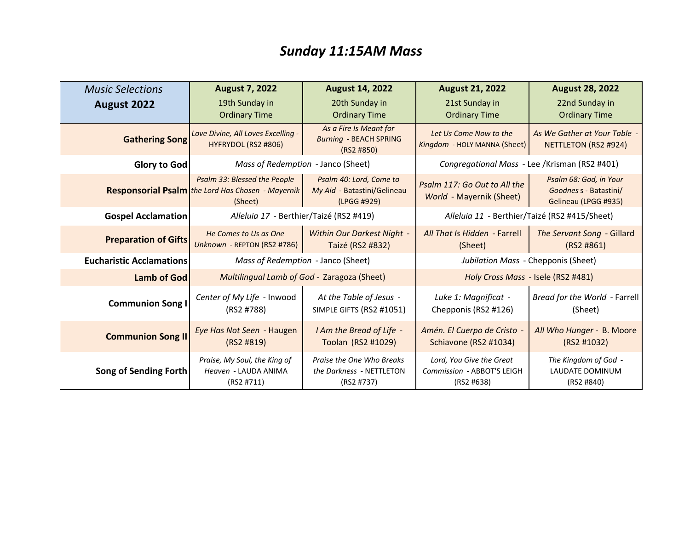# *Sunday 11:15AM Mass*

| <b>Music Selections</b>         | <b>August 7, 2022</b>                                                                               | <b>August 14, 2022</b>                                                | <b>August 21, 2022</b>                                               | <b>August 28, 2022</b>                                                   |
|---------------------------------|-----------------------------------------------------------------------------------------------------|-----------------------------------------------------------------------|----------------------------------------------------------------------|--------------------------------------------------------------------------|
| August 2022                     | 19th Sunday in<br><b>Ordinary Time</b>                                                              | 20th Sunday in<br><b>Ordinary Time</b>                                | 21st Sunday in<br><b>Ordinary Time</b>                               | 22nd Sunday in<br><b>Ordinary Time</b>                                   |
| <b>Gathering Song</b>           | Love Divine, All Loves Excelling -<br>HYFRYDOL (RS2 #806)                                           | As a Fire Is Meant for<br><b>Burning - BEACH SPRING</b><br>(RS2 #850) | Let Us Come Now to the<br>Kingdom - HOLY MANNA (Sheet)               | As We Gather at Your Table -<br>NETTLETON (RS2 #924)                     |
| Glory to God                    | Mass of Redemption - Janco (Sheet)                                                                  |                                                                       | Congregational Mass - Lee /Krisman (RS2 #401)                        |                                                                          |
|                                 | Psalm 33: Blessed the People<br><b>Responsorial Psalm</b> the Lord Has Chosen - Mayernik<br>(Sheet) | Psalm 40: Lord, Come to<br>My Aid - Batastini/Gelineau<br>(LPGG #929) | Psalm 117: Go Out to All the<br>World - Mayernik (Sheet)             | Psalm 68: God, in Your<br>Goodnes s - Batastini/<br>Gelineau (LPGG #935) |
| <b>Gospel Acclamation</b>       | Alleluia 17 - Berthier/Taizé (RS2 #419)                                                             |                                                                       | Alleluia 11 - Berthier/Taizé (RS2 #415/Sheet)                        |                                                                          |
| <b>Preparation of Gifts</b>     | He Comes to Us as One<br>Unknown - REPTON (RS2 #786)                                                | Within Our Darkest Night -<br>Taizé (RS2 #832)                        | All That Is Hidden - Farrell<br>(Sheet)                              | The Servant Song - Gillard<br>(RS2 H861)                                 |
| <b>Eucharistic Acclamations</b> | Mass of Redemption - Janco (Sheet)                                                                  |                                                                       | Jubilation Mass - Chepponis (Sheet)                                  |                                                                          |
| <b>Lamb of God</b>              | Multilingual Lamb of God - Zaragoza (Sheet)                                                         |                                                                       | Holy Cross Mass - Isele (RS2 #481)                                   |                                                                          |
| <b>Communion Song I</b>         | Center of My Life - Inwood<br>(RS2 #788)                                                            | At the Table of Jesus -<br>SIMPLE GIFTS (RS2 #1051)                   | Luke 1: Magnificat -<br>Chepponis (RS2 #126)                         | Bread for the World - Farrell<br>(Sheet)                                 |
| <b>Communion Song II</b>        | Eye Has Not Seen - Haugen<br>(RS2 #819)                                                             | I Am the Bread of Life -<br>Toolan (RS2 #1029)                        | Amén. El Cuerpo de Cristo -<br>Schiavone (RS2 #1034)                 | All Who Hunger - B. Moore<br>(RS2 #1032)                                 |
| Song of Sending Forth           | Praise, My Soul, the King of<br>Heaven - LAUDA ANIMA<br>(RS2 #711)                                  | Praise the One Who Breaks<br>the Darkness - NETTLETON<br>(RS2 #737)   | Lord, You Give the Great<br>Commission - ABBOT'S LEIGH<br>(RS2 #638) | The Kingdom of God -<br>LAUDATE DOMINUM<br>(RS2 #840)                    |